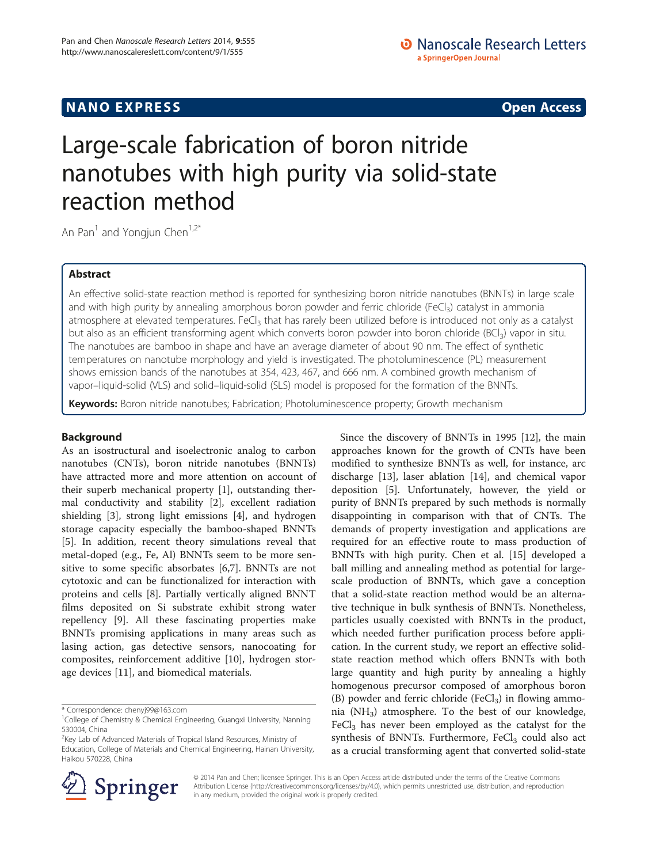# **NANO EXPRESS** Open Access and the set of the set of the set of the set of the set of the set of the set of the set of the set of the set of the set of the set of the set of the set of the set of the set of the set of the

# Large-scale fabrication of boron nitride nanotubes with high purity via solid-state reaction method

An Pan<sup>1</sup> and Yongjun Chen<sup>1,2\*</sup>

# Abstract

An effective solid-state reaction method is reported for synthesizing boron nitride nanotubes (BNNTs) in large scale and with high purity by annealing amorphous boron powder and ferric chloride (FeCl<sub>3</sub>) catalyst in ammonia atmosphere at elevated temperatures. FeCl<sub>3</sub> that has rarely been utilized before is introduced not only as a catalyst but also as an efficient transforming agent which converts boron powder into boron chloride (BCl<sub>3</sub>) vapor in situ. The nanotubes are bamboo in shape and have an average diameter of about 90 nm. The effect of synthetic temperatures on nanotube morphology and yield is investigated. The photoluminescence (PL) measurement shows emission bands of the nanotubes at 354, 423, 467, and 666 nm. A combined growth mechanism of vapor–liquid-solid (VLS) and solid–liquid-solid (SLS) model is proposed for the formation of the BNNTs.

Keywords: Boron nitride nanotubes; Fabrication; Photoluminescence property; Growth mechanism

## Background

As an isostructural and isoelectronic analog to carbon nanotubes (CNTs), boron nitride nanotubes (BNNTs) have attracted more and more attention on account of their superb mechanical property [[1\]](#page-4-0), outstanding thermal conductivity and stability [[2\]](#page-4-0), excellent radiation shielding [\[3](#page-4-0)], strong light emissions [\[4](#page-4-0)], and hydrogen storage capacity especially the bamboo-shaped BNNTs [[5\]](#page-4-0). In addition, recent theory simulations reveal that metal-doped (e.g., Fe, Al) BNNTs seem to be more sensitive to some specific absorbates [\[6,7](#page-4-0)]. BNNTs are not cytotoxic and can be functionalized for interaction with proteins and cells [[8\]](#page-4-0). Partially vertically aligned BNNT films deposited on Si substrate exhibit strong water repellency [[9\]](#page-4-0). All these fascinating properties make BNNTs promising applications in many areas such as lasing action, gas detective sensors, nanocoating for composites, reinforcement additive [[10\]](#page-4-0), hydrogen storage devices [[11](#page-4-0)], and biomedical materials.

\* Correspondence: [chenyj99@163.com](mailto:chenyj99@163.com) <sup>1</sup>

<sup>2</sup>Key Lab of Advanced Materials of Tropical Island Resources, Ministry of Education, College of Materials and Chemical Engineering, Hainan University, Haikou 570228, China

Since the discovery of BNNTs in 1995 [\[12\]](#page-4-0), the main approaches known for the growth of CNTs have been modified to synthesize BNNTs as well, for instance, arc discharge [\[13\]](#page-4-0), laser ablation [\[14\]](#page-4-0), and chemical vapor deposition [\[5](#page-4-0)]. Unfortunately, however, the yield or purity of BNNTs prepared by such methods is normally disappointing in comparison with that of CNTs. The demands of property investigation and applications are required for an effective route to mass production of BNNTs with high purity. Chen et al. [\[15\]](#page-4-0) developed a ball milling and annealing method as potential for largescale production of BNNTs, which gave a conception that a solid-state reaction method would be an alternative technique in bulk synthesis of BNNTs. Nonetheless, particles usually coexisted with BNNTs in the product, which needed further purification process before application. In the current study, we report an effective solidstate reaction method which offers BNNTs with both large quantity and high purity by annealing a highly homogenous precursor composed of amorphous boron (B) powder and ferric chloride (FeCl<sub>3</sub>) in flowing ammonia  $(NH_3)$  atmosphere. To the best of our knowledge,  $FeCl<sub>3</sub>$  has never been employed as the catalyst for the synthesis of BNNTs. Furthermore,  $FeCl<sub>3</sub>$  could also act as a crucial transforming agent that converted solid-state



© 2014 Pan and Chen; licensee Springer. This is an Open Access article distributed under the terms of the Creative Commons Attribution License [\(http://creativecommons.org/licenses/by/4.0\)](http://creativecommons.org/licenses/by/4.0), which permits unrestricted use, distribution, and reproduction in any medium, provided the original work is properly credited.

<sup>&</sup>lt;sup>1</sup> College of Chemistry & Chemical Engineering, Guangxi University, Nanning 530004, China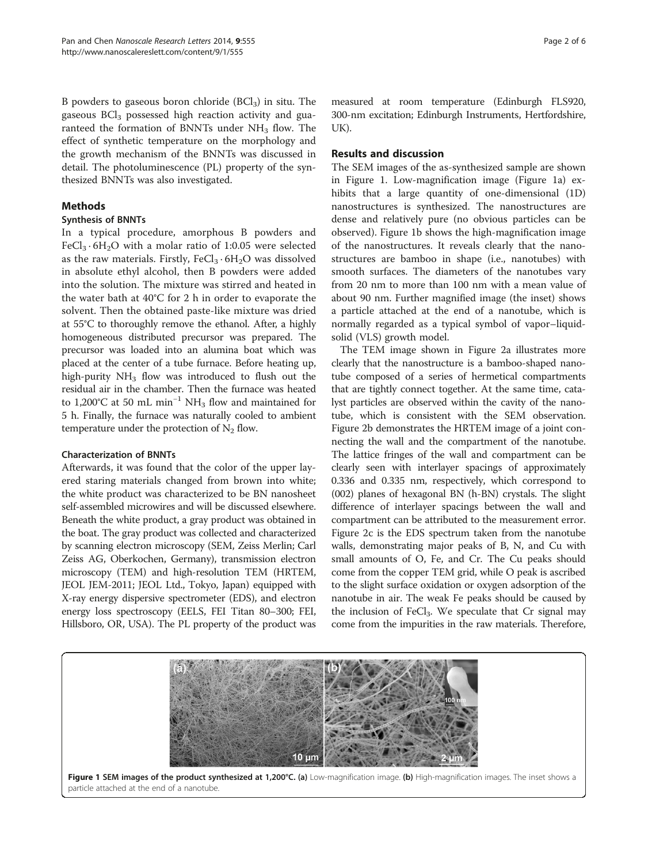B powders to gaseous boron chloride  $(BCI<sub>3</sub>)$  in situ. The gaseous BCl<sub>3</sub> possessed high reaction activity and guaranteed the formation of BNNTs under  $NH<sub>3</sub>$  flow. The effect of synthetic temperature on the morphology and the growth mechanism of the BNNTs was discussed in detail. The photoluminescence (PL) property of the synthesized BNNTs was also investigated.

### Methods

#### Synthesis of BNNTs

In a typical procedure, amorphous B powders and FeCl<sub>3</sub>  $\cdot$  6H<sub>2</sub>O with a molar ratio of 1:0.05 were selected as the raw materials. Firstly,  $FeCl<sub>3</sub> \cdot 6H<sub>2</sub>O$  was dissolved in absolute ethyl alcohol, then B powders were added into the solution. The mixture was stirred and heated in the water bath at 40°C for 2 h in order to evaporate the solvent. Then the obtained paste-like mixture was dried at 55°C to thoroughly remove the ethanol. After, a highly homogeneous distributed precursor was prepared. The precursor was loaded into an alumina boat which was placed at the center of a tube furnace. Before heating up, high-purity  $NH<sub>3</sub>$  flow was introduced to flush out the residual air in the chamber. Then the furnace was heated to 1,200°C at 50 mL min<sup>-1</sup> NH<sub>3</sub> flow and maintained for 5 h. Finally, the furnace was naturally cooled to ambient temperature under the protection of  $N_2$  flow.

#### Characterization of BNNTs

Afterwards, it was found that the color of the upper layered staring materials changed from brown into white; the white product was characterized to be BN nanosheet self-assembled microwires and will be discussed elsewhere. Beneath the white product, a gray product was obtained in the boat. The gray product was collected and characterized by scanning electron microscopy (SEM, Zeiss Merlin; Carl Zeiss AG, Oberkochen, Germany), transmission electron microscopy (TEM) and high-resolution TEM (HRTEM, JEOL JEM-2011; JEOL Ltd., Tokyo, Japan) equipped with X-ray energy dispersive spectrometer (EDS), and electron energy loss spectroscopy (EELS, FEI Titan 80–300; FEI, Hillsboro, OR, USA). The PL property of the product was

measured at room temperature (Edinburgh FLS920, 300-nm excitation; Edinburgh Instruments, Hertfordshire, UK).

### Results and discussion

The SEM images of the as-synthesized sample are shown in Figure 1. Low-magnification image (Figure 1a) exhibits that a large quantity of one-dimensional (1D) nanostructures is synthesized. The nanostructures are dense and relatively pure (no obvious particles can be observed). Figure 1b shows the high-magnification image of the nanostructures. It reveals clearly that the nanostructures are bamboo in shape (i.e., nanotubes) with smooth surfaces. The diameters of the nanotubes vary from 20 nm to more than 100 nm with a mean value of about 90 nm. Further magnified image (the inset) shows a particle attached at the end of a nanotube, which is normally regarded as a typical symbol of vapor–liquidsolid (VLS) growth model.

The TEM image shown in Figure [2](#page-2-0)a illustrates more clearly that the nanostructure is a bamboo-shaped nanotube composed of a series of hermetical compartments that are tightly connect together. At the same time, catalyst particles are observed within the cavity of the nanotube, which is consistent with the SEM observation. Figure [2b](#page-2-0) demonstrates the HRTEM image of a joint connecting the wall and the compartment of the nanotube. The lattice fringes of the wall and compartment can be clearly seen with interlayer spacings of approximately 0.336 and 0.335 nm, respectively, which correspond to (002) planes of hexagonal BN (h-BN) crystals. The slight difference of interlayer spacings between the wall and compartment can be attributed to the measurement error. Figure [2c](#page-2-0) is the EDS spectrum taken from the nanotube walls, demonstrating major peaks of B, N, and Cu with small amounts of O, Fe, and Cr. The Cu peaks should come from the copper TEM grid, while O peak is ascribed to the slight surface oxidation or oxygen adsorption of the nanotube in air. The weak Fe peaks should be caused by the inclusion of FeCl<sub>3</sub>. We speculate that Cr signal may come from the impurities in the raw materials. Therefore,

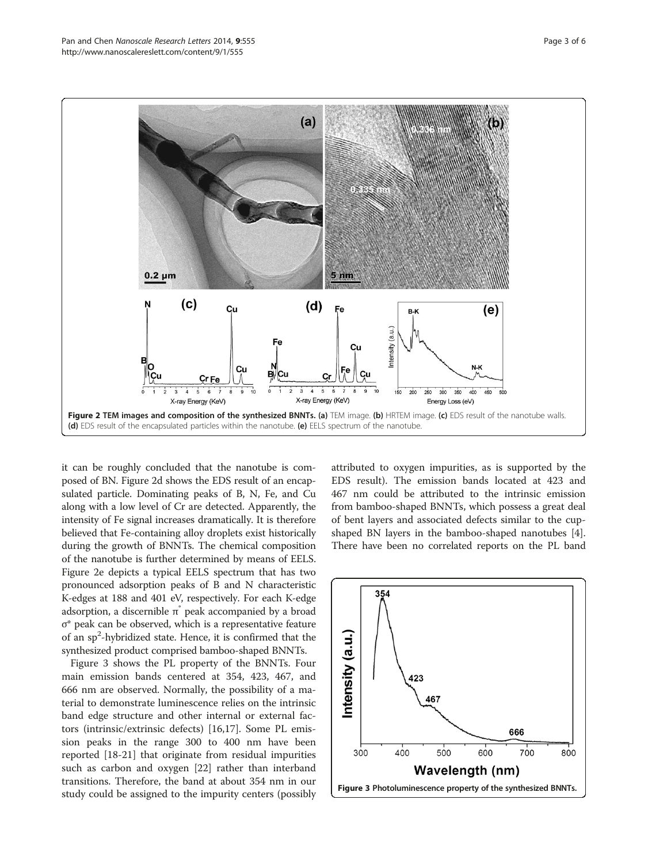<span id="page-2-0"></span>

it can be roughly concluded that the nanotube is composed of BN. Figure 2d shows the EDS result of an encapsulated particle. Dominating peaks of B, N, Fe, and Cu along with a low level of Cr are detected. Apparently, the intensity of Fe signal increases dramatically. It is therefore believed that Fe-containing alloy droplets exist historically during the growth of BNNTs. The chemical composition of the nanotube is further determined by means of EELS. Figure 2e depicts a typical EELS spectrum that has two pronounced adsorption peaks of B and N characteristic K-edges at 188 and 401 eV, respectively. For each K-edge adsorption, a discernible π peak accompanied by a broad σ\* peak can be observed, which is a representative feature of an sp<sup>2</sup>-hybridized state. Hence, it is confirmed that the synthesized product comprised bamboo-shaped BNNTs.

Figure 3 shows the PL property of the BNNTs. Four main emission bands centered at 354, 423, 467, and 666 nm are observed. Normally, the possibility of a material to demonstrate luminescence relies on the intrinsic band edge structure and other internal or external factors (intrinsic/extrinsic defects) [[16](#page-4-0),[17](#page-4-0)]. Some PL emission peaks in the range 300 to 400 nm have been reported [[18-21\]](#page-4-0) that originate from residual impurities such as carbon and oxygen [[22](#page-4-0)] rather than interband transitions. Therefore, the band at about 354 nm in our study could be assigned to the impurity centers (possibly

attributed to oxygen impurities, as is supported by the EDS result). The emission bands located at 423 and 467 nm could be attributed to the intrinsic emission from bamboo-shaped BNNTs, which possess a great deal of bent layers and associated defects similar to the cupshaped BN layers in the bamboo-shaped nanotubes [\[4](#page-4-0)]. There have been no correlated reports on the PL band

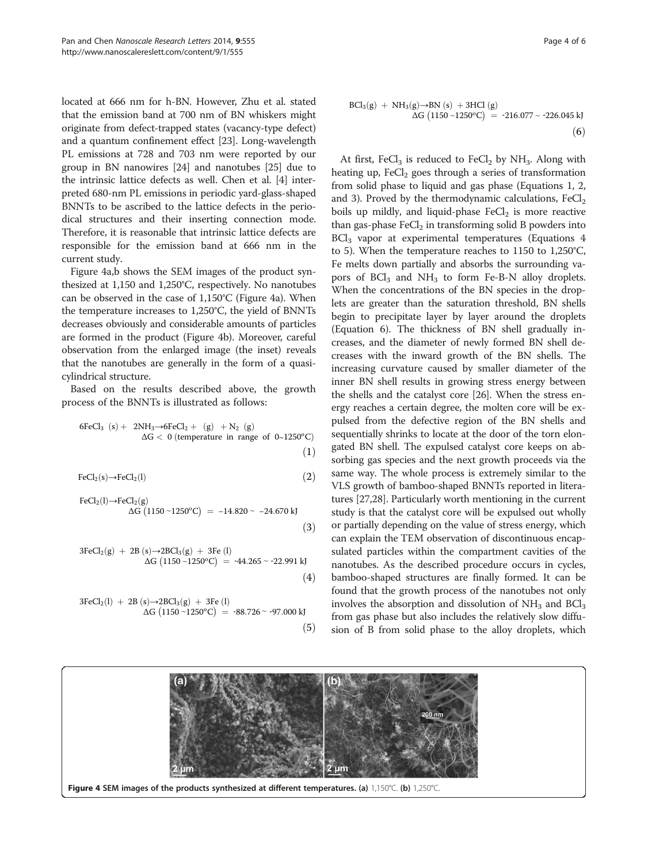<span id="page-3-0"></span>located at 666 nm for h-BN. However, Zhu et al. stated that the emission band at 700 nm of BN whiskers might originate from defect-trapped states (vacancy-type defect) and a quantum confinement effect [[23](#page-5-0)]. Long-wavelength PL emissions at 728 and 703 nm were reported by our group in BN nanowires [\[24\]](#page-5-0) and nanotubes [[25](#page-5-0)] due to the intrinsic lattice defects as well. Chen et al. [[4](#page-4-0)] interpreted 680-nm PL emissions in periodic yard-glass-shaped BNNTs to be ascribed to the lattice defects in the periodical structures and their inserting connection mode. Therefore, it is reasonable that intrinsic lattice defects are responsible for the emission band at 666 nm in the current study.

Figure 4a,b shows the SEM images of the product synthesized at 1,150 and 1,250°C, respectively. No nanotubes can be observed in the case of 1,150°C (Figure 4a). When the temperature increases to 1,250°C, the yield of BNNTs decreases obviously and considerable amounts of particles are formed in the product (Figure 4b). Moreover, careful observation from the enlarged image (the inset) reveals that the nanotubes are generally in the form of a quasicylindrical structure.

Based on the results described above, the growth process of the BNNTs is illustrated as follows:

$$
\begin{array}{rl} 6FeCl_3 \ (s) + & 2NH_3 \rightarrow & 6FeCl_2 + \ (g) & + N_2 \ (g) \\ \Delta G < & 0 \ (temperature \ in \ range \ of \ 0 {\sim} 1250^oC) \end{array} \eqno{(1)}
$$

$$
FeCl2(s) \rightarrow FeCl2(l)
$$
 (2)

FeCl<sub>2</sub>(I) 
$$
\rightarrow
$$
FeCl<sub>2</sub>(g)  
\n $\Delta G (1150 \sim 1250^{\circ}C) = -14.820 \sim -24.670 \text{ kJ}$  (3)

$$
3FeCl_{2}(g) + 2B (s) \rightarrow 2BCl_{3}(g) + 3Fe (l) \n\Delta G (1150 \sim 1250^{\circ}C) = -44.265 \sim -22.991 \text{ kJ}
$$
\n(4)

$$
3FeCl2(I) + 2B (s) \rightarrow 2BCl3(g) + 3Fe (I)
$$
  
 
$$
\Delta G (1150 \sim 1250^{\circ}C) = -88.726 \sim -97.000 \text{ kJ}
$$
  
(5)

$$
BCl_3(g) + NH_3(g) \rightarrow BN(s) + 3HCl(g)
$$
  
\n
$$
\Delta G (1150 \sim 1250^{\circ}C) = -216.077 \sim -226.045 \text{ kJ}
$$
\n(6)

At first, FeCl<sub>3</sub> is reduced to FeCl<sub>2</sub> by NH<sub>3</sub>. Along with heating up,  $FeCl<sub>2</sub>$  goes through a series of transformation from solid phase to liquid and gas phase (Equations 1, 2, and 3). Proved by the thermodynamic calculations,  $FeCl<sub>2</sub>$ boils up mildly, and liquid-phase  $FeCl<sub>2</sub>$  is more reactive than gas-phase  $FeCl<sub>2</sub>$  in transforming solid B powders into  $BCI<sub>3</sub>$  vapor at experimental temperatures (Equations 4 to 5). When the temperature reaches to 1150 to 1,250°C, Fe melts down partially and absorbs the surrounding vapors of  $BCl<sub>3</sub>$  and  $NH<sub>3</sub>$  to form Fe-B-N alloy droplets. When the concentrations of the BN species in the droplets are greater than the saturation threshold, BN shells begin to precipitate layer by layer around the droplets (Equation 6). The thickness of BN shell gradually increases, and the diameter of newly formed BN shell decreases with the inward growth of the BN shells. The increasing curvature caused by smaller diameter of the inner BN shell results in growing stress energy between the shells and the catalyst core [\[26\]](#page-5-0). When the stress energy reaches a certain degree, the molten core will be expulsed from the defective region of the BN shells and sequentially shrinks to locate at the door of the torn elongated BN shell. The expulsed catalyst core keeps on absorbing gas species and the next growth proceeds via the same way. The whole process is extremely similar to the VLS growth of bamboo-shaped BNNTs reported in literatures [\[27,28\]](#page-5-0). Particularly worth mentioning in the current study is that the catalyst core will be expulsed out wholly or partially depending on the value of stress energy, which can explain the TEM observation of discontinuous encapsulated particles within the compartment cavities of the nanotubes. As the described procedure occurs in cycles, bamboo-shaped structures are finally formed. It can be found that the growth process of the nanotubes not only involves the absorption and dissolution of  $NH<sub>3</sub>$  and  $BCl<sub>3</sub>$ from gas phase but also includes the relatively slow diffusion of B from solid phase to the alloy droplets, which

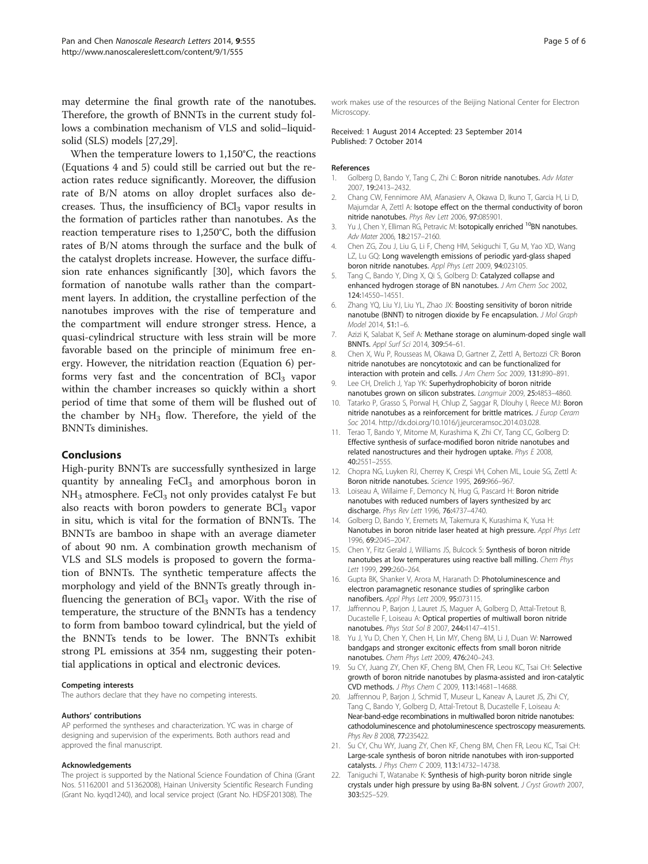<span id="page-4-0"></span>may determine the final growth rate of the nanotubes. Therefore, the growth of BNNTs in the current study follows a combination mechanism of VLS and solid–liquidsolid (SLS) models [[27,29](#page-5-0)].

When the temperature lowers to 1,150°C, the reactions (Equations [4](#page-3-0) and [5\)](#page-3-0) could still be carried out but the reaction rates reduce significantly. Moreover, the diffusion rate of B/N atoms on alloy droplet surfaces also decreases. Thus, the insufficiency of  $BCl<sub>3</sub>$  vapor results in the formation of particles rather than nanotubes. As the reaction temperature rises to 1,250°C, both the diffusion rates of B/N atoms through the surface and the bulk of the catalyst droplets increase. However, the surface diffusion rate enhances significantly [[30\]](#page-5-0), which favors the formation of nanotube walls rather than the compartment layers. In addition, the crystalline perfection of the nanotubes improves with the rise of temperature and the compartment will endure stronger stress. Hence, a quasi-cylindrical structure with less strain will be more favorable based on the principle of minimum free energy. However, the nitridation reaction (Equation [6](#page-3-0)) performs very fast and the concentration of  $BCI<sub>3</sub>$  vapor within the chamber increases so quickly within a short period of time that some of them will be flushed out of the chamber by  $NH<sub>3</sub>$  flow. Therefore, the yield of the BNNTs diminishes.

#### Conclusions

High-purity BNNTs are successfully synthesized in large quantity by annealing  $FeCl<sub>3</sub>$  and amorphous boron in  $NH<sub>3</sub>$  atmosphere. FeCl<sub>3</sub> not only provides catalyst Fe but also reacts with boron powders to generate  $BCl<sub>3</sub>$  vapor in situ, which is vital for the formation of BNNTs. The BNNTs are bamboo in shape with an average diameter of about 90 nm. A combination growth mechanism of VLS and SLS models is proposed to govern the formation of BNNTs. The synthetic temperature affects the morphology and yield of the BNNTs greatly through influencing the generation of  $BCI<sub>3</sub>$  vapor. With the rise of temperature, the structure of the BNNTs has a tendency to form from bamboo toward cylindrical, but the yield of the BNNTs tends to be lower. The BNNTs exhibit strong PL emissions at 354 nm, suggesting their potential applications in optical and electronic devices.

#### Competing interests

The authors declare that they have no competing interests.

#### Authors' contributions

AP performed the syntheses and characterization. YC was in charge of designing and supervision of the experiments. Both authors read and approved the final manuscript.

#### Acknowledgements

The project is supported by the National Science Foundation of China (Grant Nos. 51162001 and 51362008), Hainan University Scientific Research Funding (Grant No. kyqd1240), and local service project (Grant No. HDSF201308). The

work makes use of the resources of the Beijing National Center for Electron Microscopy.

#### Received: 1 August 2014 Accepted: 23 September 2014 Published: 7 October 2014

#### References

- 1. Golberg D, Bando Y, Tang C, Zhi C: Boron nitride nanotubes. Adv Mater 2007, 19:2413–2432.
- 2. Chang CW, Fennimore AM, Afanasierv A, Okawa D, Ikuno T, Garcia H, Li D, Majumdar A, Zettl A: Isotope effect on the thermal conductivity of boron nitride nanotubes. Phys Rev Lett 2006, 97:085901.
- 3. Yu J, Chen Y, Elliman RG, Petravic M: Isotopically enriched <sup>10</sup>BN nanotubes. Adv Mater 2006, 18:2157–2160.
- 4. Chen ZG, Zou J, Liu G, Li F, Cheng HM, Sekiguchi T, Gu M, Yao XD, Wang LZ, Lu GQ: Long wavelength emissions of periodic yard-glass shaped boron nitride nanotubes. Appl Phys Lett 2009, 94:023105.
- 5. Tang C, Bando Y, Ding X, Qi S, Golberg D: Catalyzed collapse and enhanced hydrogen storage of BN nanotubes. J Am Chem Soc 2002, 124:14550–14551.
- 6. Zhang YQ, Liu YJ, Liu YL, Zhao JX: Boosting sensitivity of boron nitride nanotube (BNNT) to nitrogen dioxide by Fe encapsulation. J Mol Graph Model 2014, 51:1–6.
- 7. Azizi K, Salabat K, Seif A: Methane storage on aluminum-doped single wall BNNTs. Appl Surf Sci 2014, 309:54–61.
- 8. Chen X, Wu P, Rousseas M, Okawa D, Gartner Z, Zettl A, Bertozzi CR: Boron nitride nanotubes are noncytotoxic and can be functionalized for interaction with protein and cells. J Am Chem Soc 2009, 131:890–891.
- 9. Lee CH, Drelich J, Yap YK: Superhydrophobicity of boron nitride nanotubes grown on silicon substrates. Langmuir 2009, 25:4853–4860.
- 10. Tatarko P, Grasso S, Porwal H, Chlup Z, Saggar R, Dlouhy I, Reece MJ: Boron nitride nanotubes as a reinforcement for brittle matrices. *J Furon Ceram* Soc 2014. http://dx.doi.org/10.1016/j.jeurceramsoc.2014.03.028.
- 11. Terao T, Bando Y, Mitome M, Kurashima K, Zhi CY, Tang CC, Golberg D: Effective synthesis of surface-modified boron nitride nanotubes and related nanostructures and their hydrogen uptake. Phys E 2008, 40:2551–2555.
- 12. Chopra NG, Luyken RJ, Cherrey K, Crespi VH, Cohen ML, Louie SG, Zettl A: Boron nitride nanotubes. Science 1995, 269:966–967.
- 13. Loiseau A, Willaime F, Demoncy N, Hug G, Pascard H: Boron nitride nanotubes with reduced numbers of layers synthesized by arc discharge. Phys Rev Lett 1996, 76:4737–4740.
- 14. Golberg D, Bando Y, Eremets M, Takemura K, Kurashima K, Yusa H: Nanotubes in boron nitride laser heated at high pressure. Appl Phys Lett 1996, 69:2045–2047.
- 15. Chen Y, Fitz Gerald J, Williams JS, Bulcock S: Synthesis of boron nitride nanotubes at low temperatures using reactive ball milling. Chem Phys Lett 1999, 299:260–264.
- 16. Gupta BK, Shanker V, Arora M, Haranath D: Photoluminescence and electron paramagnetic resonance studies of springlike carbon nanofibers. Appl Phys Lett 2009, 95:073115.
- 17. Jaffrennou P, Barjon J, Lauret JS, Maguer A, Golberg D, Attal-Tretout B, Ducastelle F, Loiseau A: Optical properties of multiwall boron nitride nanotubes. Phys Stat Sol B 2007, 244:4147–4151.
- 18. Yu J, Yu D, Chen Y, Chen H, Lin MY, Cheng BM, Li J, Duan W: Narrowed bandgaps and stronger excitonic effects from small boron nitride nanotubes. Chem Phys Lett 2009, 476:240–243.
- 19. Su CY, Juang ZY, Chen KF, Cheng BM, Chen FR, Leou KC, Tsai CH: Selective growth of boron nitride nanotubes by plasma-assisted and iron-catalytic CVD methods. J Phys Chem C 2009, 113:14681–14688.
- 20. Jaffrennou P, Barjon J, Schmid T, Museur L, Kaneav A, Lauret JS, Zhi CY, Tang C, Bando Y, Golberg D, Attal-Tretout B, Ducastelle F, Loiseau A: Near-band-edge recombinations in multiwalled boron nitride nanotubes: cathodoluminescence and photoluminescence spectroscopy measurements. Phys Rev B 2008, 77:235422.
- 21. Su CY, Chu WY, Juang ZY, Chen KF, Cheng BM, Chen FR, Leou KC, Tsai CH: Large-scale synthesis of boron nitride nanotubes with iron-supported catalysts. J Phys Chem C 2009, 113:14732–14738.
- 22. Taniguchi T, Watanabe K: Synthesis of high-purity boron nitride single crystals under high pressure by using Ba-BN solvent. J Cryst Growth 2007, 303:525–529.